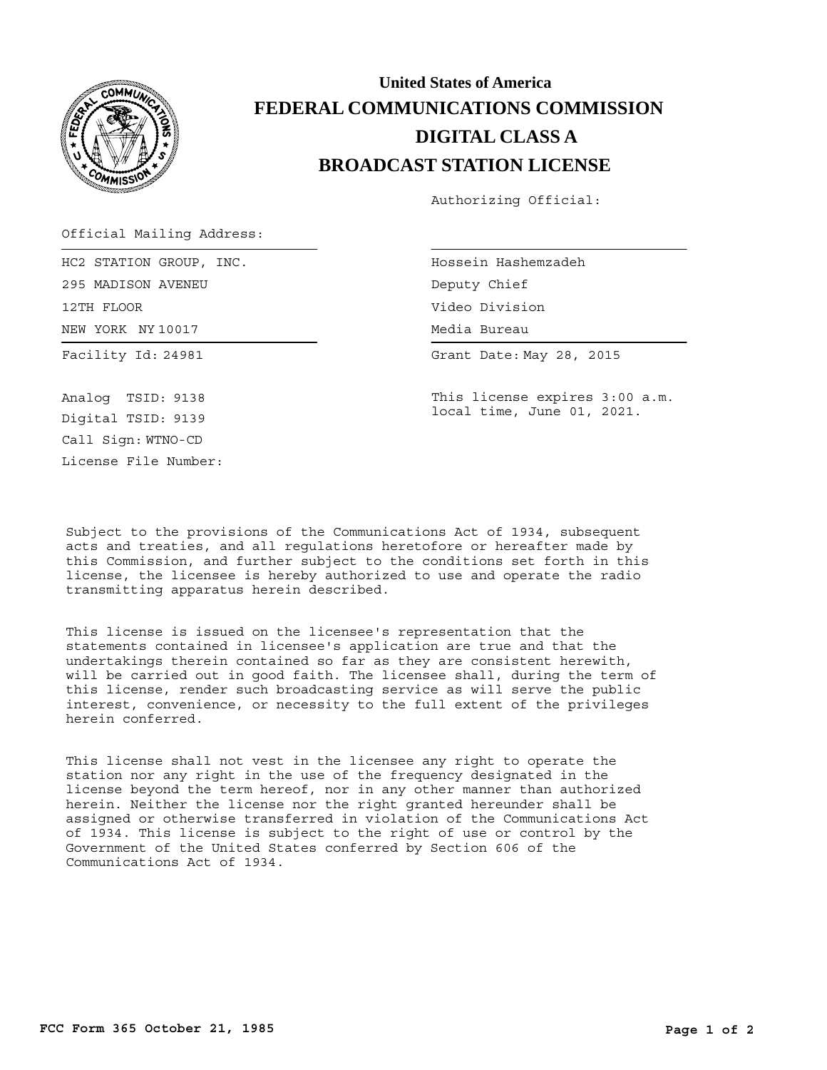

## **BROADCAST STATION LICENSE DIGITAL CLASS A FEDERAL COMMUNICATIONS COMMISSION United States of America**

Authorizing Official:

Official Mailing Address:

Facility Id: 24981 NEW YORK NY 10017 HC2 STATION GROUP, INC. 295 MADISON AVENEU 12TH FLOOR

Hossein Hashemzadeh Media Bureau Media Bureau Deputy Chief Video Division

Grant Date: May 28, 2015

This license expires 3:00 a.m. local time, June 01, 2021.

Call Sign: WTNO-CD License File Number: Analog TSID: 9138 Digital TSID: 9139

Subject to the provisions of the Communications Act of 1934, subsequent acts and treaties, and all regulations heretofore or hereafter made by this Commission, and further subject to the conditions set forth in this license, the licensee is hereby authorized to use and operate the radio transmitting apparatus herein described.

This license is issued on the licensee's representation that the statements contained in licensee's application are true and that the undertakings therein contained so far as they are consistent herewith, will be carried out in good faith. The licensee shall, during the term of this license, render such broadcasting service as will serve the public interest, convenience, or necessity to the full extent of the privileges herein conferred.

This license shall not vest in the licensee any right to operate the station nor any right in the use of the frequency designated in the license beyond the term hereof, nor in any other manner than authorized herein. Neither the license nor the right granted hereunder shall be assigned or otherwise transferred in violation of the Communications Act of 1934. This license is subject to the right of use or control by the Government of the United States conferred by Section 606 of the Communications Act of 1934.